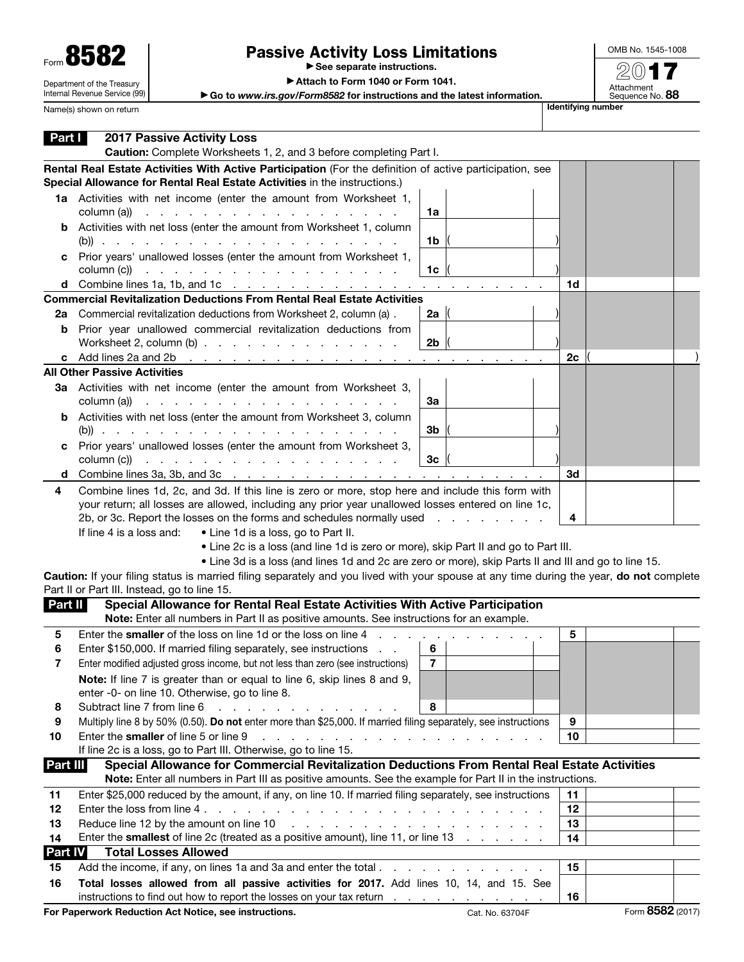| Form 858                   |
|----------------------------|
| Department of the Treasury |

Internal Revenue Service (99)

## Passive Activity Loss Limitations

▶ See separate instructions.

OMB No. 1545-1008 2017

Attachment<br>Sequence No. **88** 

▶ Attach to Form 1040 or Form 1041.

▶ Go to *www.irs.gov/Form8582* for instructions and the latest information.

Name(s) shown on return **International Control of the Control of Control of The Control of The International International International International International International International International International I** 

| Part I         | <b>2017 Passive Activity Loss</b><br>Caution: Complete Worksheets 1, 2, and 3 before completing Part I.                                                   |                 |                  |
|----------------|-----------------------------------------------------------------------------------------------------------------------------------------------------------|-----------------|------------------|
|                | Rental Real Estate Activities With Active Participation (For the definition of active participation, see                                                  |                 |                  |
|                | Special Allowance for Rental Real Estate Activities in the instructions.)                                                                                 |                 |                  |
|                | 1a Activities with net income (enter the amount from Worksheet 1,<br>column (a))<br>the contract of the contract of the contract of the contract of<br>1a |                 |                  |
| b              | Activities with net loss (enter the amount from Worksheet 1, column                                                                                       |                 |                  |
|                | 1b                                                                                                                                                        |                 |                  |
| c              | Prior years' unallowed losses (enter the amount from Worksheet 1,<br>column (c))<br>and the contract of the contract of the contract of the<br>1c         |                 |                  |
|                | <b>d</b> Combine lines 1a, 1b, and 1c $\ldots$ $\ldots$ $\ldots$ $\ldots$ $\ldots$ $\ldots$ $\ldots$                                                      | 1d              |                  |
|                | <b>Commercial Revitalization Deductions From Rental Real Estate Activities</b>                                                                            |                 |                  |
| 2a             | Commercial revitalization deductions from Worksheet 2, column (a).<br>2a $ $                                                                              |                 |                  |
| b              | Prior year unallowed commercial revitalization deductions from                                                                                            |                 |                  |
|                | Worksheet 2, column $(b)$<br>2 <sub>b</sub>                                                                                                               |                 |                  |
| c              | Add lines 2a and 2b<br>the contract of the contract of the contract of the contract of                                                                    | 2c              |                  |
|                | <b>All Other Passive Activities</b>                                                                                                                       |                 |                  |
|                | 3a Activities with net income (enter the amount from Worksheet 3,<br>column (a))<br>За<br>the contract of the contract of the contract of the contract of |                 |                  |
| b              | Activities with net loss (enter the amount from Worksheet 3, column                                                                                       |                 |                  |
|                | 3b                                                                                                                                                        |                 |                  |
| с              | Prior years' unallowed losses (enter the amount from Worksheet 3,<br>column (c))<br>3 <sub>c</sub><br>والمتحاول والمتحاول والمتحاول والمتحاول والمتحاولات |                 |                  |
| d              | Combine lines 3a, 3b, and 3c $\ldots$ $\ldots$ $\ldots$ $\ldots$ $\ldots$ $\ldots$ $\ldots$ $\ldots$ $\ldots$                                             | 3d              |                  |
| 4              | Combine lines 1d, 2c, and 3d. If this line is zero or more, stop here and include this form with                                                          |                 |                  |
|                | your return; all losses are allowed, including any prior year unallowed losses entered on line 1c,                                                        |                 |                  |
|                | 2b, or 3c. Report the losses on the forms and schedules normally used                                                                                     | 4               |                  |
|                | If line 4 is a loss and:<br>• Line 1d is a loss, go to Part II.                                                                                           |                 |                  |
|                | • Line 2c is a loss (and line 1d is zero or more), skip Part II and go to Part III.                                                                       |                 |                  |
|                | . Line 3d is a loss (and lines 1d and 2c are zero or more), skip Parts II and III and go to line 15.                                                      |                 |                  |
|                | Caution: If your filing status is married filing separately and you lived with your spouse at any time during the year, do not complete                   |                 |                  |
|                | Part II or Part III. Instead, go to line 15.                                                                                                              |                 |                  |
| Part II        | Special Allowance for Rental Real Estate Activities With Active Participation                                                                             |                 |                  |
|                | Note: Enter all numbers in Part II as positive amounts. See instructions for an example.                                                                  |                 |                  |
| 5              | Enter the smaller of the loss on line 1d or the loss on line 4                                                                                            | 5               |                  |
| 6              | 6<br>Enter \$150,000. If married filing separately, see instructions<br>$\sim$ $\sim$                                                                     |                 |                  |
| 7              | Enter modified adjusted gross income, but not less than zero (see instructions)<br>$\overline{7}$                                                         |                 |                  |
|                | Note: If line 7 is greater than or equal to line 6, skip lines 8 and 9,<br>enter -0- on line 10. Otherwise, go to line 8.                                 |                 |                  |
| 8              | Subtract line 7 from line 6<br>8                                                                                                                          |                 |                  |
| 9              | Multiply line 8 by 50% (0.50). Do not enter more than \$25,000. If married filing separately, see instructions                                            | 9               |                  |
| 10             | Enter the smaller of line 5 or line 9<br>and the contract of the contract of the contract of the contract of                                              | 10              |                  |
|                | If line 2c is a loss, go to Part III. Otherwise, go to line 15.                                                                                           |                 |                  |
| Part III       | Special Allowance for Commercial Revitalization Deductions From Rental Real Estate Activities                                                             |                 |                  |
|                | Note: Enter all numbers in Part III as positive amounts. See the example for Part II in the instructions.                                                 |                 |                  |
| 11             | Enter \$25,000 reduced by the amount, if any, on line 10. If married filing separately, see instructions                                                  | 11              |                  |
| 12             |                                                                                                                                                           | 12              |                  |
| 13             | Reduce line 12 by the amount on line 10<br>a car a car a car a car a car a car a car a car a car                                                          | 13              |                  |
| 14             | Enter the <b>smallest</b> of line 2c (treated as a positive amount), line 11, or line 13                                                                  | 14              |                  |
| <b>Part IV</b> | <b>Total Losses Allowed</b>                                                                                                                               |                 |                  |
| 15             | Add the income, if any, on lines 1a and 3a and enter the total                                                                                            | 15              |                  |
| 16             | Total losses allowed from all passive activities for 2017. Add lines 10, 14, and 15. See                                                                  |                 |                  |
|                | instructions to find out how to report the losses on your tax return                                                                                      | 16              |                  |
|                | For Paperwork Reduction Act Notice, see instructions.                                                                                                     | Cat. No. 63704F | Form 8582 (2017) |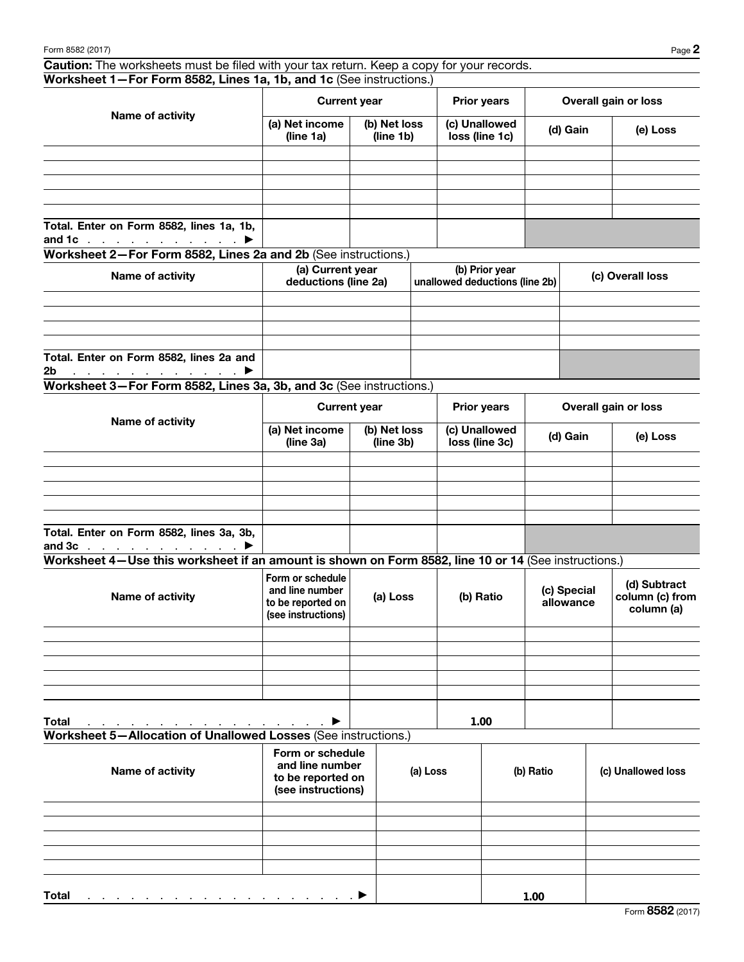Caution: The worksheets must be filed with your tax return. Keep a copy for your records. Worksheet 1—For Form 8582, Lines 1a, 1b, and 1c (See instructions.)

| Name of activity                                                                       |                             | <b>Current year</b>       | <b>Prior years</b>              | Overall gain or loss |          |  |
|----------------------------------------------------------------------------------------|-----------------------------|---------------------------|---------------------------------|----------------------|----------|--|
|                                                                                        | (a) Net income<br>(line 1a) | (b) Net loss<br>(line 1b) | (c) Unallowed<br>loss (line 1c) | (d) Gain             | (e) Loss |  |
|                                                                                        |                             |                           |                                 |                      |          |  |
|                                                                                        |                             |                           |                                 |                      |          |  |
|                                                                                        |                             |                           |                                 |                      |          |  |
|                                                                                        |                             |                           |                                 |                      |          |  |
|                                                                                        |                             |                           |                                 |                      |          |  |
| Total. Enter on Form 8582, lines 1a, 1b,<br>and 1c $\ldots$ $\ldots$ $\ldots$ $\ldots$ |                             |                           |                                 |                      |          |  |

Worksheet 2—For Form 8582, Lines 2a and 2b (See instructions.)

| Name of activity                                                                    | (a) Current year<br>deductions (line 2a) | (b) Prior year<br>unallowed deductions (line 2b) | (c) Overall loss |
|-------------------------------------------------------------------------------------|------------------------------------------|--------------------------------------------------|------------------|
|                                                                                     |                                          |                                                  |                  |
|                                                                                     |                                          |                                                  |                  |
|                                                                                     |                                          |                                                  |                  |
|                                                                                     |                                          |                                                  |                  |
| Total. Enter on Form 8582, lines 2a and                                             |                                          |                                                  |                  |
| 2 <sub>b</sub><br>$\ldots$ . The set of the set of the set of $\blacktriangleright$ |                                          |                                                  |                  |

Worksheet 3—For Form 8582, Lines 3a, 3b, and 3c (See instructions.)

| Name of activity                                                           |                                                          | <b>Current year</b> | <b>Prior years</b>              | Overall gain or loss |          |  |
|----------------------------------------------------------------------------|----------------------------------------------------------|---------------------|---------------------------------|----------------------|----------|--|
|                                                                            | (b) Net loss<br>(a) Net income<br>(line 3a)<br>(line 3b) |                     | (c) Unallowed<br>loss (line 3c) | (d) Gain             | (e) Loss |  |
|                                                                            |                                                          |                     |                                 |                      |          |  |
|                                                                            |                                                          |                     |                                 |                      |          |  |
|                                                                            |                                                          |                     |                                 |                      |          |  |
|                                                                            |                                                          |                     |                                 |                      |          |  |
|                                                                            |                                                          |                     |                                 |                      |          |  |
| Total. Enter on Form 8582, lines 3a, 3b,<br>and $3c$ $\blacktriangleright$ |                                                          |                     |                                 |                      |          |  |

Worksheet 4—Use this worksheet if an amount is shown on Form 8582, line 10 or 14 (See instructions.)

| Name of activity                                                                    | Form or schedule<br>and line number<br>to be reported on<br>(see instructions) | (a) Loss | (b) Ratio | (c) Special<br>allowance | (d) Subtract<br>column (c) from<br>column (a) |
|-------------------------------------------------------------------------------------|--------------------------------------------------------------------------------|----------|-----------|--------------------------|-----------------------------------------------|
|                                                                                     |                                                                                |          |           |                          |                                               |
|                                                                                     |                                                                                |          |           |                          |                                               |
|                                                                                     |                                                                                |          |           |                          |                                               |
|                                                                                     |                                                                                |          |           |                          |                                               |
|                                                                                     |                                                                                |          |           |                          |                                               |
| <b>Total</b><br>and the contract of the contract of the contract of the contract of | ▶                                                                              |          | 1.00      |                          |                                               |

```
Worksheet 5—Allocation of Unallowed Losses (See instructions.)
```

| Name of activity                                                       | Form or schedule<br>and line number<br>to be reported on<br>(see instructions) | (a) Loss | (b) Ratio | (c) Unallowed loss |
|------------------------------------------------------------------------|--------------------------------------------------------------------------------|----------|-----------|--------------------|
|                                                                        |                                                                                |          |           |                    |
|                                                                        |                                                                                |          |           |                    |
|                                                                        |                                                                                |          |           |                    |
|                                                                        |                                                                                |          |           |                    |
|                                                                        |                                                                                |          |           |                    |
| <b>Total</b><br>a se a construir a construir a construir a construir → |                                                                                |          | 1.00      |                    |